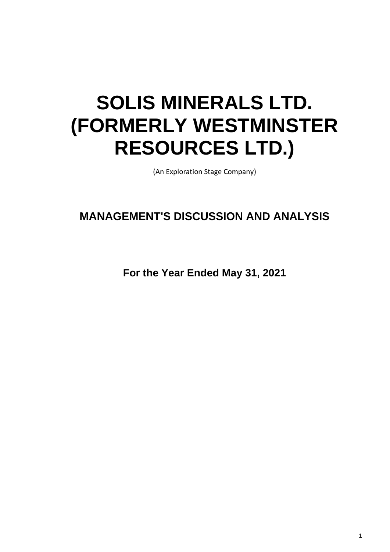# **SOLIS MINERALS LTD. (FORMERLY WESTMINSTER RESOURCES LTD.)**

(An Exploration Stage Company)

# **MANAGEMENT'S DISCUSSION AND ANALYSIS**

**For the Year Ended May 31, 2021**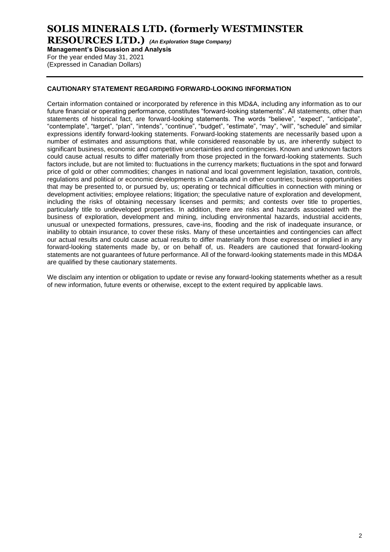## **SOLIS MINERALS LTD. (formerly WESTMINSTER**

**RESOURCES LTD.)** *(An Exploration Stage Company)*

**Management's Discussion and Analysis**

For the year ended May 31, 2021 (Expressed in Canadian Dollars)

#### **CAUTIONARY STATEMENT REGARDING FORWARD-LOOKING INFORMATION**

Certain information contained or incorporated by reference in this MD&A, including any information as to our future financial or operating performance, constitutes "forward-looking statements". All statements, other than statements of historical fact, are forward-looking statements. The words "believe", "expect", "anticipate", "contemplate", "target", "plan", "intends", "continue", "budget", "estimate", "may", "will", "schedule" and similar expressions identify forward-looking statements. Forward-looking statements are necessarily based upon a number of estimates and assumptions that, while considered reasonable by us, are inherently subject to significant business, economic and competitive uncertainties and contingencies. Known and unknown factors could cause actual results to differ materially from those projected in the forward-looking statements. Such factors include, but are not limited to: fluctuations in the currency markets; fluctuations in the spot and forward price of gold or other commodities; changes in national and local government legislation, taxation, controls, regulations and political or economic developments in Canada and in other countries; business opportunities that may be presented to, or pursued by, us; operating or technical difficulties in connection with mining or development activities; employee relations; litigation; the speculative nature of exploration and development, including the risks of obtaining necessary licenses and permits; and contests over title to properties, particularly title to undeveloped properties. In addition, there are risks and hazards associated with the business of exploration, development and mining, including environmental hazards, industrial accidents, unusual or unexpected formations, pressures, cave-ins, flooding and the risk of inadequate insurance, or inability to obtain insurance, to cover these risks. Many of these uncertainties and contingencies can affect our actual results and could cause actual results to differ materially from those expressed or implied in any forward-looking statements made by, or on behalf of, us. Readers are cautioned that forward-looking statements are not guarantees of future performance. All of the forward-looking statements made in this MD&A are qualified by these cautionary statements.

We disclaim any intention or obligation to update or revise any forward-looking statements whether as a result of new information, future events or otherwise, except to the extent required by applicable laws.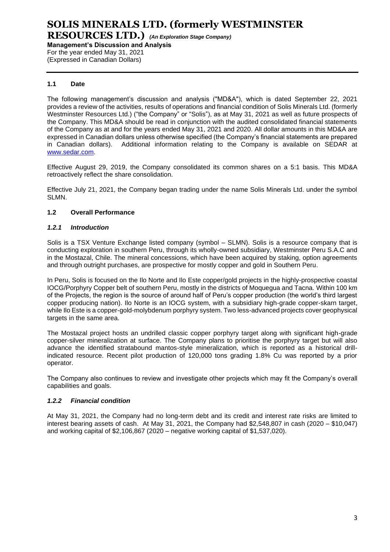**RESOURCES LTD.)** *(An Exploration Stage Company)* **Management's Discussion and Analysis**

For the year ended May 31, 2021 (Expressed in Canadian Dollars)

### **1.1 Date**

The following management's discussion and analysis ("MD&A"), which is dated September 22, 2021 provides a review of the activities, results of operations and financial condition of Solis Minerals Ltd. (formerly Westminster Resources Ltd.) ("the Company" or "Solis"), as at May 31, 2021 as well as future prospects of the Company. This MD&A should be read in conjunction with the audited consolidated financial statements of the Company as at and for the years ended May 31, 2021 and 2020. All dollar amounts in this MD&A are expressed in Canadian dollars unless otherwise specified (the Company's financial statements are prepared in Canadian dollars). Additional information relating to the Company is available on SEDAR at [www.sedar.com.](http://www.sedar.com/)

Effective August 29, 2019, the Company consolidated its common shares on a 5:1 basis. This MD&A retroactively reflect the share consolidation.

Effective July 21, 2021, the Company began trading under the name Solis Minerals Ltd. under the symbol SLMN.

#### **1.2 Overall Performance**

#### *1.2.1 Introduction*

Solis is a TSX Venture Exchange listed company (symbol – SLMN). Solis is a resource company that is conducting exploration in southern Peru, through its wholly-owned subsidiary, Westminster Peru S.A.C and in the Mostazal, Chile. The mineral concessions, which have been acquired by staking, option agreements and through outright purchases, are prospective for mostly copper and gold in Southern Peru.

In Peru, Solis is focused on the Ilo Norte and Ilo Este copper/gold projects in the highly-prospective coastal IOCG/Porphyry Copper belt of southern Peru, mostly in the districts of Moquegua and Tacna. Within 100 km of the Projects, the region is the source of around half of Peru's copper production (the world's third largest copper producing nation). Ilo Norte is an IOCG system, with a subsidiary high-grade copper-skarn target, while Ilo Este is a copper-gold-molybdenum porphyry system. Two less-advanced projects cover geophysical targets in the same area.

The Mostazal project hosts an undrilled classic copper porphyry target along with significant high-grade copper-silver mineralization at surface. The Company plans to prioritise the porphyry target but will also advance the identified stratabound mantos-style mineralization, which is reported as a historical drillindicated resource. Recent pilot production of 120,000 tons grading 1.8% Cu was reported by a prior operator.

The Company also continues to review and investigate other projects which may fit the Company's overall capabilities and goals.

#### *1.2.2 Financial condition*

At May 31, 2021, the Company had no long-term debt and its credit and interest rate risks are limited to interest bearing assets of cash. At May 31, 2021, the Company had \$2,548,807 in cash (2020 – \$10,047) and working capital of \$2,106,867 (2020 – negative working capital of \$1,537,020).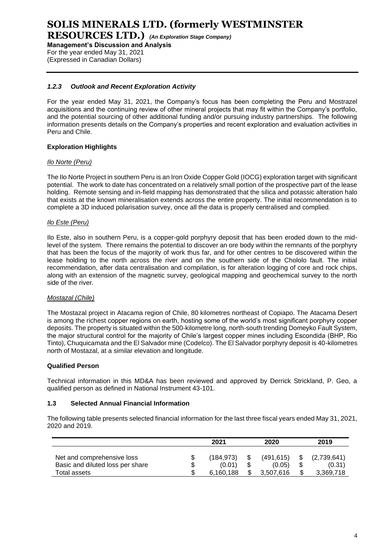**RESOURCES LTD.)** *(An Exploration Stage Company)*

**Management's Discussion and Analysis** For the year ended May 31, 2021 (Expressed in Canadian Dollars)

### *1.2.3 Outlook and Recent Exploration Activity*

For the year ended May 31, 2021, the Company's focus has been completing the Peru and Mostrazel acquisitions and the continuing review of other mineral projects that may fit within the Company's portfolio, and the potential sourcing of other additional funding and/or pursuing industry partnerships. The following information presents details on the Company's properties and recent exploration and evaluation activities in Peru and Chile.

#### **Exploration Highlights**

#### *Ilo Norte (Peru)*

The Ilo Norte Project in southern Peru is an Iron Oxide Copper Gold (IOCG) exploration target with significant potential. The work to date has concentrated on a relatively small portion of the prospective part of the lease holding. Remote sensing and in-field mapping has demonstrated that the silica and potassic alteration halo that exists at the known mineralisation extends across the entire property. The initial recommendation is to complete a 3D induced polarisation survey, once all the data is properly centralised and complied.

#### *Ilo Este (Peru)*

Ilo Este, also in southern Peru, is a copper-gold porphyry deposit that has been eroded down to the midlevel of the system. There remains the potential to discover an ore body within the remnants of the porphyry that has been the focus of the majority of work thus far, and for other centres to be discovered within the lease holding to the north across the river and on the southern side of the Chololo fault. The initial recommendation, after data centralisation and compilation, is for alteration logging of core and rock chips, along with an extension of the magnetic survey, geological mapping and geochemical survey to the north side of the river.

#### *Mostazal (Chile)*

The Mostazal project in Atacama region of Chile, 80 kilometres northeast of Copiapo. The Atacama Desert is among the richest copper regions on earth, hosting some of the world's most significant porphyry copper deposits. The property is situated within the 500-kilometre long, north-south trending Domeyko Fault System, the major structural control for the majority of Chile's largest copper mines including Escondida (BHP, Rio Tinto), Chuquicamata and the El Salvador mine (Codelco). The El Salvador porphyry deposit is 40-kilometres north of Mostazal, at a similar elevation and longitude.

#### **Qualified Person**

Technical information in this MD&A has been reviewed and approved by Derrick Strickland, P. Geo, a qualified person as defined in National Instrument 43-101.

#### **1.3 Selected Annual Financial Information**

The following table presents selected financial information for the last three fiscal years ended May 31, 2021, 2020 and 2019.

|                                                                | 2021<br>2020        |  | 2019                 |      |                       |
|----------------------------------------------------------------|---------------------|--|----------------------|------|-----------------------|
| Net and comprehensive loss<br>Basic and diluted loss per share | (184.973)<br>(0.01) |  | (491, 615)<br>(0.05) | - \$ | (2,739,641)<br>(0.31) |
| Total assets                                                   | 6.160.188           |  | 3.507.616            |      | 3,369,718             |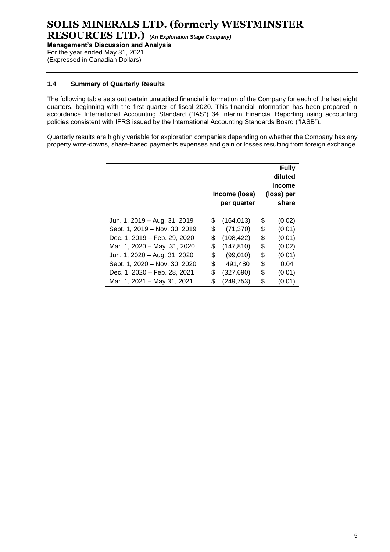**Management's Discussion and Analysis** For the year ended May 31, 2021

(Expressed in Canadian Dollars)

#### **1.4 Summary of Quarterly Results**

The following table sets out certain unaudited financial information of the Company for each of the last eight quarters, beginning with the first quarter of fiscal 2020. This financial information has been prepared in accordance International Accounting Standard ("IAS") 34 Interim Financial Reporting using accounting policies consistent with IFRS issued by the International Accounting Standards Board ("IASB").

Quarterly results are highly variable for exploration companies depending on whether the Company has any property write-downs, share-based payments expenses and gain or losses resulting from foreign exchange.

|                               | Income (loss)<br>per quarter | <b>Fully</b><br>diluted<br>income<br>(loss) per<br>share |
|-------------------------------|------------------------------|----------------------------------------------------------|
| Jun. 1, 2019 - Aug. 31, 2019  | \$<br>(164, 013)             | \$<br>(0.02)                                             |
| Sept. 1, 2019 - Nov. 30, 2019 | \$<br>(71, 370)              | \$<br>(0.01)                                             |
| Dec. 1, 2019 - Feb. 29, 2020  | \$<br>(108, 422)             | \$<br>(0.01)                                             |
| Mar. 1, 2020 - May. 31, 2020  | \$<br>(147, 810)             | \$<br>(0.02)                                             |
| Jun. 1, 2020 – Aug. 31, 2020  | \$<br>(99,010)               | \$<br>(0.01)                                             |
| Sept. 1, 2020 - Nov. 30, 2020 | \$<br>491,480                | \$<br>0.04                                               |
| Dec. 1, 2020 - Feb. 28, 2021  | \$<br>(327, 690)             | \$<br>(0.01)                                             |
| Mar. 1, 2021 - May 31, 2021   | \$<br>(249,753)              | \$<br>(0.01)                                             |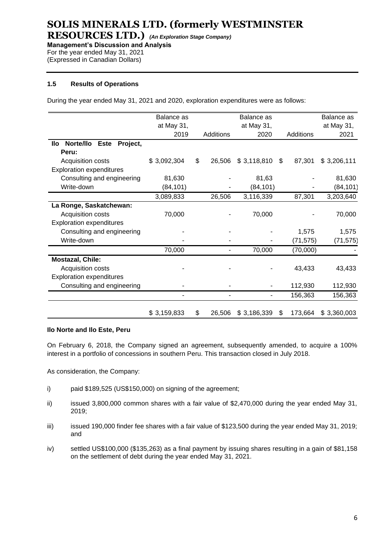**RESOURCES LTD.)** *(An Exploration Stage Company)* **Management's Discussion and Analysis**

For the year ended May 31, 2021

(Expressed in Canadian Dollars)

#### **1.5 Results of Operations**

During the year ended May 31, 2021 and 2020, exploration expenditures were as follows:

|                                      | Balance as  |              | Balance as      |               | Balance as  |
|--------------------------------------|-------------|--------------|-----------------|---------------|-------------|
|                                      | at May 31,  |              | at May 31,      |               | at May 31,  |
|                                      | 2019        | Additions    | 2020            | Additions     | 2021        |
| Norte/IIo<br>Project,<br>Este<br>llo |             |              |                 |               |             |
| Peru:                                |             |              |                 |               |             |
| Acquisition costs                    | \$3,092,304 | \$<br>26,506 | $$3,118,810$ \$ | 87,301        | \$3,206,111 |
| <b>Exploration expenditures</b>      |             |              |                 |               |             |
| Consulting and engineering           | 81,630      |              | 81,63           |               | 81,630      |
| Write-down                           | (84, 101)   |              | (84, 101)       |               | (84, 101)   |
|                                      | 3,089,833   | 26,506       | 3,116,339       | 87,301        | 3,203,640   |
| La Ronge, Saskatchewan:              |             |              |                 |               |             |
| Acquisition costs                    | 70,000      |              | 70,000          |               | 70,000      |
| <b>Exploration expenditures</b>      |             |              |                 |               |             |
| Consulting and engineering           |             |              |                 | 1,575         | 1,575       |
| Write-down                           |             |              |                 | (71, 575)     | (71, 575)   |
|                                      | 70,000      |              | 70,000          | (70,000)      |             |
| <b>Mostazal, Chile:</b>              |             |              |                 |               |             |
| Acquisition costs                    |             |              |                 | 43,433        | 43,433      |
| <b>Exploration expenditures</b>      |             |              |                 |               |             |
| Consulting and engineering           |             |              |                 | 112,930       | 112,930     |
|                                      |             |              | ٠               | 156,363       | 156,363     |
|                                      | \$3,159,833 | \$<br>26,506 | \$3,186,339     | \$<br>173,664 | \$3,360,003 |

#### **Ilo Norte and Ilo Este, Peru**

On February 6, 2018, the Company signed an agreement, subsequently amended, to acquire a 100% interest in a portfolio of concessions in southern Peru. This transaction closed in July 2018.

As consideration, the Company:

- i) paid \$189,525 (US\$150,000) on signing of the agreement;
- ii) issued 3,800,000 common shares with a fair value of \$2,470,000 during the year ended May 31, 2019;
- iii) issued 190,000 finder fee shares with a fair value of \$123,500 during the year ended May 31, 2019; and
- iv) settled US\$100,000 (\$135,263) as a final payment by issuing shares resulting in a gain of \$81,158 on the settlement of debt during the year ended May 31, 2021.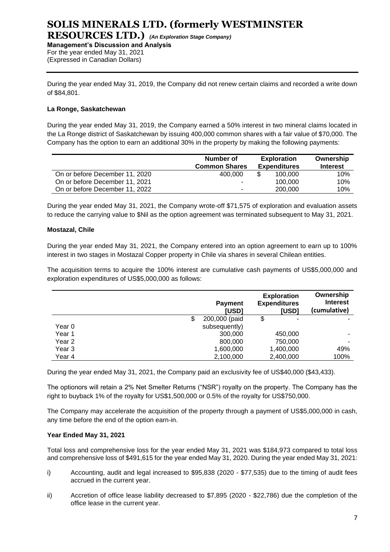During the year ended May 31, 2019, the Company did not renew certain claims and recorded a write down of \$84,801.

#### **La Ronge, Saskatchewan**

During the year ended May 31, 2019, the Company earned a 50% interest in two mineral claims located in the La Ronge district of Saskatchewan by issuing 400,000 common shares with a fair value of \$70,000. The Company has the option to earn an additional 30% in the property by making the following payments:

|                                | Number of<br><b>Common Shares</b> | <b>Exploration</b><br><b>Expenditures</b> |         | Ownership<br><b>Interest</b> |
|--------------------------------|-----------------------------------|-------------------------------------------|---------|------------------------------|
| On or before December 11, 2020 | 400.000                           |                                           | 100.000 | 10%                          |
| On or before December 11, 2021 | ۰                                 |                                           | 100.000 | 10%                          |
| On or before December 11, 2022 | -                                 |                                           | 200,000 | 10%                          |

During the year ended May 31, 2021, the Company wrote-off \$71,575 of exploration and evaluation assets to reduce the carrying value to \$Nil as the option agreement was terminated subsequent to May 31, 2021.

#### **Mostazal, Chile**

During the year ended May 31, 2021, the Company entered into an option agreement to earn up to 100% interest in two stages in Mostazal Copper property in Chile via shares in several Chilean entities.

The acquisition terms to acquire the 100% interest are cumulative cash payments of US\$5,000,000 and exploration expenditures of US\$5,000,000 as follows:

|        | <b>Payment</b><br>[USD] | <b>Exploration</b><br><b>Expenditures</b><br>[USD] | Ownership<br><b>Interest</b><br>(cumulative) |
|--------|-------------------------|----------------------------------------------------|----------------------------------------------|
|        | 200,000 (paid           | \$                                                 |                                              |
| Year 0 | subsequently)           |                                                    |                                              |
| Year 1 | 300,000                 | 450,000                                            | -                                            |
| Year 2 | 800,000                 | 750,000                                            | ۰                                            |
| Year 3 | 1,600,000               | 1,400,000                                          | 49%                                          |
| Year 4 | 2,100,000               | 2,400,000                                          | 100%                                         |

During the year ended May 31, 2021, the Company paid an exclusivity fee of US\$40,000 (\$43,433).

The optionors will retain a 2% Net Smelter Returns ("NSR") royalty on the property. The Company has the right to buyback 1% of the royalty for US\$1,500,000 or 0.5% of the royalty for US\$750,000.

The Company may accelerate the acquisition of the property through a payment of US\$5,000,000 in cash, any time before the end of the option earn-in.

#### **Year Ended May 31, 2021**

Total loss and comprehensive loss for the year ended May 31, 2021 was \$184,973 compared to total loss and comprehensive loss of \$491,615 for the year ended May 31, 2020. During the year ended May 31, 2021:

- i) Accounting, audit and legal increased to \$95,838 (2020 \$77,535) due to the timing of audit fees accrued in the current year.
- ii) Accretion of office lease liability decreased to \$7,895 (2020 \$22,786) due the completion of the office lease in the current year.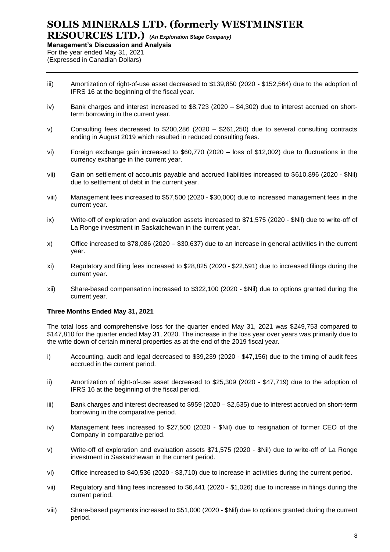**RESOURCES LTD.)** *(An Exploration Stage Company)* **Management's Discussion and Analysis**

For the year ended May 31, 2021 (Expressed in Canadian Dollars)

- iii) Amortization of right-of-use asset decreased to \$139,850 (2020 \$152,564) due to the adoption of IFRS 16 at the beginning of the fiscal year.
- iv) Bank charges and interest increased to \$8,723 (2020 \$4,302) due to interest accrued on shortterm borrowing in the current year.
- v) Consulting fees decreased to \$200,286 (2020 \$261,250) due to several consulting contracts ending in August 2019 which resulted in reduced consulting fees.
- vi) Foreign exchange gain increased to \$60,770 (2020 loss of \$12,002) due to fluctuations in the currency exchange in the current year.
- vii) Gain on settlement of accounts payable and accrued liabilities increased to \$610,896 (2020 \$Nil) due to settlement of debt in the current year.
- viii) Management fees increased to \$57,500 (2020 \$30,000) due to increased management fees in the current year.
- ix) Write-off of exploration and evaluation assets increased to \$71,575 (2020 \$Nil) due to write-off of La Ronge investment in Saskatchewan in the current year.
- x) Office increased to \$78,086 (2020 \$30,637) due to an increase in general activities in the current year.
- xi) Regulatory and filing fees increased to \$28,825 (2020 \$22,591) due to increased filings during the current year.
- xii) Share-based compensation increased to \$322,100 (2020 \$Nil) due to options granted during the current year.

#### **Three Months Ended May 31, 2021**

The total loss and comprehensive loss for the quarter ended May 31, 2021 was \$249,753 compared to \$147,810 for the quarter ended May 31, 2020. The increase in the loss year over years was primarily due to the write down of certain mineral properties as at the end of the 2019 fiscal year.

- i) Accounting, audit and legal decreased to \$39,239 (2020 \$47,156) due to the timing of audit fees accrued in the current period.
- ii) Amortization of right-of-use asset decreased to \$25,309 (2020 \$47,719) due to the adoption of IFRS 16 at the beginning of the fiscal period.
- iii) Bank charges and interest decreased to \$959 (2020 \$2,535) due to interest accrued on short-term borrowing in the comparative period.
- iv) Management fees increased to \$27,500 (2020 \$Nil) due to resignation of former CEO of the Company in comparative period.
- v) Write-off of exploration and evaluation assets \$71,575 (2020 \$Nil) due to write-off of La Ronge investment in Saskatchewan in the current period.
- vi) Office increased to \$40,536 (2020 \$3,710) due to increase in activities during the current period.
- vii) Regulatory and filing fees increased to \$6,441 (2020 \$1,026) due to increase in filings during the current period.
- viii) Share-based payments increased to \$51,000 (2020 \$Nil) due to options granted during the current period.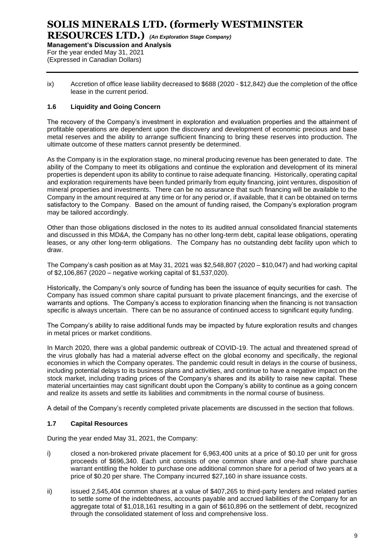ix) Accretion of office lease liability decreased to \$688 (2020 - \$12,842) due the completion of the office lease in the current period.

#### **1.6 Liquidity and Going Concern**

The recovery of the Company's investment in exploration and evaluation properties and the attainment of profitable operations are dependent upon the discovery and development of economic precious and base metal reserves and the ability to arrange sufficient financing to bring these reserves into production. The ultimate outcome of these matters cannot presently be determined.

As the Company is in the exploration stage, no mineral producing revenue has been generated to date. The ability of the Company to meet its obligations and continue the exploration and development of its mineral properties is dependent upon its ability to continue to raise adequate financing. Historically, operating capital and exploration requirements have been funded primarily from equity financing, joint ventures, disposition of mineral properties and investments. There can be no assurance that such financing will be available to the Company in the amount required at any time or for any period or, if available, that it can be obtained on terms satisfactory to the Company. Based on the amount of funding raised, the Company's exploration program may be tailored accordingly.

Other than those obligations disclosed in the notes to its audited annual consolidated financial statements and discussed in this MD&A, the Company has no other long-term debt, capital lease obligations, operating leases, or any other long-term obligations. The Company has no outstanding debt facility upon which to draw.

The Company's cash position as at May 31, 2021 was \$2,548,807 (2020 – \$10,047) and had working capital of \$2,106,867 (2020 – negative working capital of \$1,537,020).

Historically, the Company's only source of funding has been the issuance of equity securities for cash. The Company has issued common share capital pursuant to private placement financings, and the exercise of warrants and options. The Company's access to exploration financing when the financing is not transaction specific is always uncertain. There can be no assurance of continued access to significant equity funding.

The Company's ability to raise additional funds may be impacted by future exploration results and changes in metal prices or market conditions.

In March 2020, there was a global pandemic outbreak of COVID-19. The actual and threatened spread of the virus globally has had a material adverse effect on the global economy and specifically, the regional economies in which the Company operates. The pandemic could result in delays in the course of business, including potential delays to its business plans and activities, and continue to have a negative impact on the stock market, including trading prices of the Company's shares and its ability to raise new capital. These material uncertainties may cast significant doubt upon the Company's ability to continue as a going concern and realize its assets and settle its liabilities and commitments in the normal course of business.

A detail of the Company's recently completed private placements are discussed in the section that follows.

#### **1.7 Capital Resources**

During the year ended May 31, 2021, the Company:

- i) closed a non-brokered private placement for 6,963,400 units at a price of \$0.10 per unit for gross proceeds of \$696,340. Each unit consists of one common share and one-half share purchase warrant entitling the holder to purchase one additional common share for a period of two years at a price of \$0.20 per share. The Company incurred \$27,160 in share issuance costs.
- ii) issued 2,545,404 common shares at a value of \$407,265 to third-party lenders and related parties to settle some of the indebtedness, accounts payable and accrued liabilities of the Company for an aggregate total of \$1,018,161 resulting in a gain of \$610,896 on the settlement of debt, recognized through the consolidated statement of loss and comprehensive loss.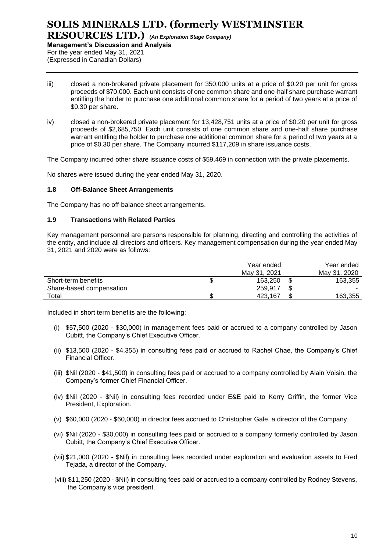- iii) closed a non-brokered private placement for 350,000 units at a price of \$0.20 per unit for gross proceeds of \$70,000. Each unit consists of one common share and one-half share purchase warrant entitling the holder to purchase one additional common share for a period of two years at a price of \$0.30 per share.
- iv) closed a non-brokered private placement for 13,428,751 units at a price of \$0.20 per unit for gross proceeds of \$2,685,750. Each unit consists of one common share and one-half share purchase warrant entitling the holder to purchase one additional common share for a period of two years at a price of \$0.30 per share. The Company incurred \$117,209 in share issuance costs.

The Company incurred other share issuance costs of \$59,469 in connection with the private placements.

No shares were issued during the year ended May 31, 2020.

#### **1.8 Off-Balance Sheet Arrangements**

The Company has no off-balance sheet arrangements.

#### **1.9 Transactions with Related Parties**

Key management personnel are persons responsible for planning, directing and controlling the activities of the entity, and include all directors and officers. Key management compensation during the year ended May 31, 2021 and 2020 were as follows:

|                          | Year ended   |   | Year ended   |
|--------------------------|--------------|---|--------------|
|                          | May 31, 2021 |   | May 31, 2020 |
| Short-term benefits      | 163.250      | J | 163,355      |
| Share-based compensation | 259.917      |   |              |
| Total                    | 423.167      |   | 163.355      |

Included in short term benefits are the following:

- (i) \$57,500 (2020 \$30,000) in management fees paid or accrued to a company controlled by Jason Cubitt, the Company's Chief Executive Officer.
- (ii) \$13,500 (2020 \$4,355) in consulting fees paid or accrued to Rachel Chae, the Company's Chief Financial Officer.
- (iii) \$Nil (2020 \$41,500) in consulting fees paid or accrued to a company controlled by Alain Voisin, the Company's former Chief Financial Officer.
- (iv) \$Nil (2020 \$Nil) in consulting fees recorded under E&E paid to Kerry Griffin, the former Vice President, Exploration.
- (v) \$60,000 (2020 \$60,000) in director fees accrued to Christopher Gale, a director of the Company.
- (vi) \$Nil (2020 \$30,000) in consulting fees paid or accrued to a company formerly controlled by Jason Cubitt, the Company's Chief Executive Officer.
- (vii) \$21,000 (2020 \$Nil) in consulting fees recorded under exploration and evaluation assets to Fred Tejada, a director of the Company.
- (viii) \$11,250 (2020 \$Nil) in consulting fees paid or accrued to a company controlled by Rodney Stevens, the Company's vice president.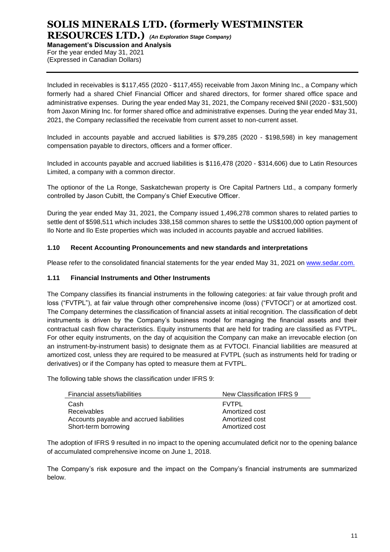# **SOLIS MINERALS LTD. (formerly WESTMINSTER**

**RESOURCES LTD.)** *(An Exploration Stage Company)* **Management's Discussion and Analysis** For the year ended May 31, 2021 (Expressed in Canadian Dollars)

Included in receivables is \$117,455 (2020 - \$117,455) receivable from Jaxon Mining Inc., a Company which formerly had a shared Chief Financial Officer and shared directors, for former shared office space and administrative expenses. During the year ended May 31, 2021, the Company received \$Nil (2020 - \$31,500) from Jaxon Mining Inc. for former shared office and administrative expenses. During the year ended May 31, 2021, the Company reclassified the receivable from current asset to non-current asset.

Included in accounts payable and accrued liabilities is \$79,285 (2020 - \$198,598) in key management compensation payable to directors, officers and a former officer.

Included in accounts payable and accrued liabilities is \$116,478 (2020 - \$314,606) due to Latin Resources Limited, a company with a common director.

The optionor of the La Ronge, Saskatchewan property is Ore Capital Partners Ltd., a company formerly controlled by Jason Cubitt, the Company's Chief Executive Officer.

During the year ended May 31, 2021, the Company issued 1,496,278 common shares to related parties to settle dent of \$598,511 which includes 338,158 common shares to settle the US\$100,000 option payment of Ilo Norte and Ilo Este properties which was included in accounts payable and accrued liabilities.

#### **1.10 Recent Accounting Pronouncements and new standards and interpretations**

Please refer to the consolidated financial statements for the year ended May 31, 2021 on [www.sedar.com.](http://www.sedar.com/)

#### **1.11 Financial Instruments and Other Instruments**

The Company classifies its financial instruments in the following categories: at fair value through profit and loss ("FVTPL"), at fair value through other comprehensive income (loss) ("FVTOCI") or at amortized cost. The Company determines the classification of financial assets at initial recognition. The classification of debt instruments is driven by the Company's business model for managing the financial assets and their contractual cash flow characteristics. Equity instruments that are held for trading are classified as FVTPL. For other equity instruments, on the day of acquisition the Company can make an irrevocable election (on an instrument-by-instrument basis) to designate them as at FVTOCI. Financial liabilities are measured at amortized cost, unless they are required to be measured at FVTPL (such as instruments held for trading or derivatives) or if the Company has opted to measure them at FVTPL.

The following table shows the classification under IFRS 9:

| Financial assets/liabilities             | New Classification IFRS 9 |
|------------------------------------------|---------------------------|
| Cash                                     | <b>FVTPL</b>              |
| Receivables                              | Amortized cost            |
| Accounts payable and accrued liabilities | Amortized cost            |
| Short-term borrowing                     | Amortized cost            |

The adoption of IFRS 9 resulted in no impact to the opening accumulated deficit nor to the opening balance of accumulated comprehensive income on June 1, 2018.

The Company's risk exposure and the impact on the Company's financial instruments are summarized below.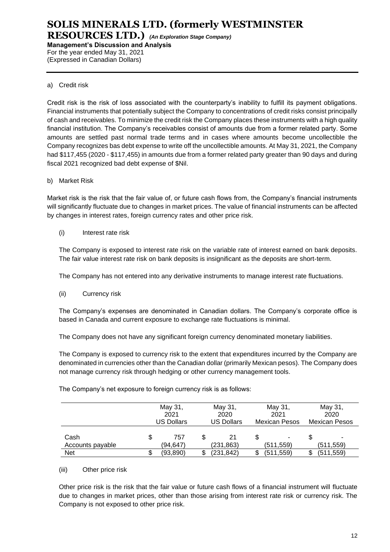#### a) Credit risk

Credit risk is the risk of loss associated with the counterparty's inability to fulfill its payment obligations. Financial instruments that potentially subject the Company to concentrations of credit risks consist principally of cash and receivables. To minimize the credit risk the Company places these instruments with a high quality financial institution. The Company's receivables consist of amounts due from a former related party. Some amounts are settled past normal trade terms and in cases where amounts become uncollectible the Company recognizes bas debt expense to write off the uncollectible amounts. At May 31, 2021, the Company had \$117,455 (2020 - \$117,455) in amounts due from a former related party greater than 90 days and during fiscal 2021 recognized bad debt expense of \$Nil.

#### b) Market Risk

Market risk is the risk that the fair value of, or future cash flows from, the Company's financial instruments will significantly fluctuate due to changes in market prices. The value of financial instruments can be affected by changes in interest rates, foreign currency rates and other price risk.

(i) Interest rate risk

The Company is exposed to interest rate risk on the variable rate of interest earned on bank deposits. The fair value interest rate risk on bank deposits is insignificant as the deposits are short‐term.

The Company has not entered into any derivative instruments to manage interest rate fluctuations.

(ii) Currency risk

The Company's expenses are denominated in Canadian dollars. The Company's corporate office is based in Canada and current exposure to exchange rate fluctuations is minimal.

The Company does not have any significant foreign currency denominated monetary liabilities.

The Company is exposed to currency risk to the extent that expenditures incurred by the Company are denominated in currencies other than the Canadian dollar (primarily Mexican pesos). The Company does not manage currency risk through hedging or other currency management tools.

May 31, 2021 US Dollars May 31, 2020 US Dollars May 31, 2021 Mexican Pesos May 31, 2020 Mexican Pesos Cash \$ 757 \$ 21 \$ - \$ -Accounts payable (94,647) (231,863) (511,559) (511,559) Net \$ (93,890) \$ (231,842) \$ (511,559) \$ (511,559)

The Company's net exposure to foreign currency risk is as follows:

#### (iii) Other price risk

Other price risk is the risk that the fair value or future cash flows of a financial instrument will fluctuate due to changes in market prices, other than those arising from interest rate risk or currency risk. The Company is not exposed to other price risk.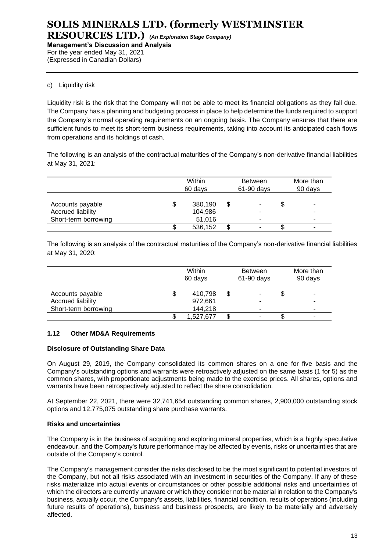#### c) Liquidity risk

Liquidity risk is the risk that the Company will not be able to meet its financial obligations as they fall due. The Company has a planning and budgeting process in place to help determine the funds required to support the Company's normal operating requirements on an ongoing basis. The Company ensures that there are sufficient funds to meet its short-term business requirements, taking into account its anticipated cash flows from operations and its holdings of cash.

The following is an analysis of the contractual maturities of the Company's non-derivative financial liabilities at May 31, 2021:

|                                                                      | Within<br>60 days            | <b>Between</b><br>$61-90$ days | More than<br>90 days |
|----------------------------------------------------------------------|------------------------------|--------------------------------|----------------------|
| Accounts payable<br><b>Accrued liability</b><br>Short-term borrowing | 380,190<br>104,986<br>51,016 | ۰                              | \$<br>-              |
|                                                                      | 536,152                      |                                |                      |

The following is an analysis of the contractual maturities of the Company's non-derivative financial liabilities at May 31, 2020:

|                                                               | Within<br>60 days                   | <b>Between</b><br>61-90 days |    | More than<br>90 days |
|---------------------------------------------------------------|-------------------------------------|------------------------------|----|----------------------|
| Accounts payable<br>Accrued liability<br>Short-term borrowing | \$<br>410,798<br>972,661<br>144.218 | ۰<br>-<br>-                  | \$ | -<br>۰<br>۰          |
|                                                               | 1,527,677                           |                              | S  | -                    |

#### **1.12 Other MD&A Requirements**

#### **Disclosure of Outstanding Share Data**

On August 29, 2019, the Company consolidated its common shares on a one for five basis and the Company's outstanding options and warrants were retroactively adjusted on the same basis (1 for 5) as the common shares, with proportionate adjustments being made to the exercise prices. All shares, options and warrants have been retrospectively adjusted to reflect the share consolidation.

At September 22, 2021, there were 32,741,654 outstanding common shares, 2,900,000 outstanding stock options and 12,775,075 outstanding share purchase warrants.

#### **Risks and uncertainties**

The Company is in the business of acquiring and exploring mineral properties, which is a highly speculative endeavour, and the Company's future performance may be affected by events, risks or uncertainties that are outside of the Company's control.

The Company's management consider the risks disclosed to be the most significant to potential investors of the Company, but not all risks associated with an investment in securities of the Company. If any of these risks materialize into actual events or circumstances or other possible additional risks and uncertainties of which the directors are currently unaware or which they consider not be material in relation to the Company's business, actually occur, the Company's assets, liabilities, financial condition, results of operations (including future results of operations), business and business prospects, are likely to be materially and adversely affected.